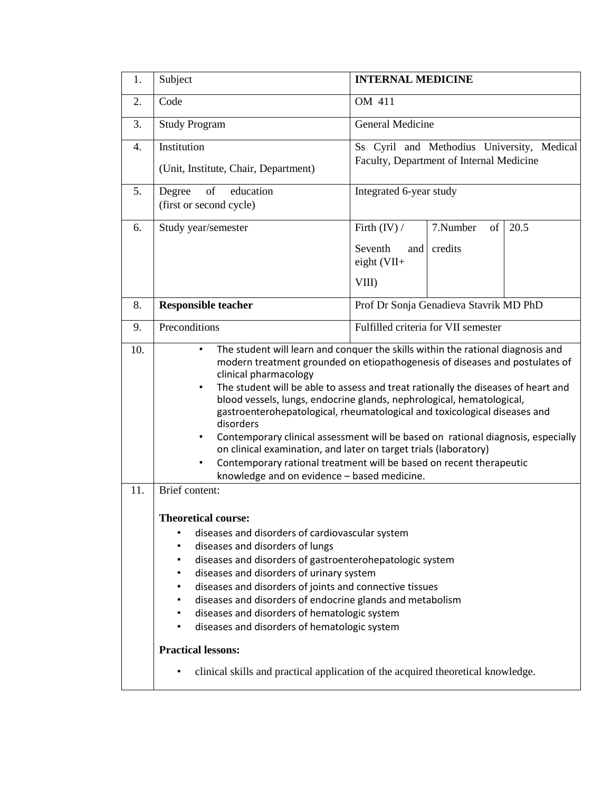| 1.               | Subject                                                                                                                                                                                                                                                                                                                                                                                                                                                                                                                                                                                                                                                                                                                                                                   | <b>INTERNAL MEDICINE</b>                                                               |                           |      |  |  |
|------------------|---------------------------------------------------------------------------------------------------------------------------------------------------------------------------------------------------------------------------------------------------------------------------------------------------------------------------------------------------------------------------------------------------------------------------------------------------------------------------------------------------------------------------------------------------------------------------------------------------------------------------------------------------------------------------------------------------------------------------------------------------------------------------|----------------------------------------------------------------------------------------|---------------------------|------|--|--|
| 2.               | Code                                                                                                                                                                                                                                                                                                                                                                                                                                                                                                                                                                                                                                                                                                                                                                      | OM 411                                                                                 |                           |      |  |  |
| 3.               | <b>Study Program</b>                                                                                                                                                                                                                                                                                                                                                                                                                                                                                                                                                                                                                                                                                                                                                      | General Medicine                                                                       |                           |      |  |  |
| $\overline{4}$ . | Institution<br>(Unit, Institute, Chair, Department)                                                                                                                                                                                                                                                                                                                                                                                                                                                                                                                                                                                                                                                                                                                       | Ss Cyril and Methodius University, Medical<br>Faculty, Department of Internal Medicine |                           |      |  |  |
| 5.               | education<br>of<br>Degree<br>(first or second cycle)                                                                                                                                                                                                                                                                                                                                                                                                                                                                                                                                                                                                                                                                                                                      | Integrated 6-year study                                                                |                           |      |  |  |
| 6.               | Study year/semester                                                                                                                                                                                                                                                                                                                                                                                                                                                                                                                                                                                                                                                                                                                                                       | Firth $(IV) /$<br>Seventh<br>and<br>eight $(VII+$<br>VIII)                             | 7.Number<br>of<br>credits | 20.5 |  |  |
| 8.               | <b>Responsible teacher</b>                                                                                                                                                                                                                                                                                                                                                                                                                                                                                                                                                                                                                                                                                                                                                | Prof Dr Sonja Genadieva Stavrik MD PhD                                                 |                           |      |  |  |
| 9.               | Preconditions                                                                                                                                                                                                                                                                                                                                                                                                                                                                                                                                                                                                                                                                                                                                                             | Fulfilled criteria for VII semester                                                    |                           |      |  |  |
| 10.              | The student will learn and conquer the skills within the rational diagnosis and<br>$\bullet$<br>modern treatment grounded on etiopathogenesis of diseases and postulates of<br>clinical pharmacology<br>The student will be able to assess and treat rationally the diseases of heart and<br>$\bullet$<br>blood vessels, lungs, endocrine glands, nephrological, hematological,<br>gastroenterohepatological, rheumatological and toxicological diseases and<br>disorders<br>Contemporary clinical assessment will be based on rational diagnosis, especially<br>$\bullet$<br>on clinical examination, and later on target trials (laboratory)<br>Contemporary rational treatment will be based on recent therapeutic<br>٠<br>knowledge and on evidence - based medicine. |                                                                                        |                           |      |  |  |
| 11.              | Brief content:<br><b>Theoretical course:</b><br>diseases and disorders of cardiovascular system<br>٠<br>diseases and disorders of lungs<br>٠<br>diseases and disorders of gastroenterohepatologic system<br>$\bullet$<br>diseases and disorders of urinary system<br>$\bullet$<br>diseases and disorders of joints and connective tissues<br>٠<br>diseases and disorders of endocrine glands and metabolism<br>$\bullet$<br>diseases and disorders of hematologic system<br>٠<br>diseases and disorders of hematologic system<br>٠<br><b>Practical lessons:</b><br>clinical skills and practical application of the acquired theoretical knowledge.                                                                                                                       |                                                                                        |                           |      |  |  |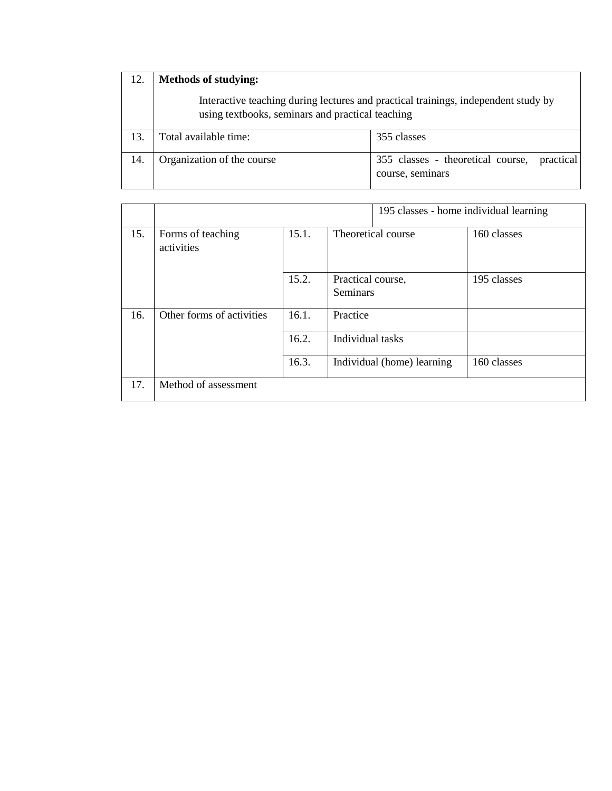| 12. | <b>Methods of studying:</b><br>Interactive teaching during lectures and practical trainings, independent study by<br>using textbooks, seminars and practical teaching |                                                                    |  |  |  |  |  |
|-----|-----------------------------------------------------------------------------------------------------------------------------------------------------------------------|--------------------------------------------------------------------|--|--|--|--|--|
|     |                                                                                                                                                                       |                                                                    |  |  |  |  |  |
| 13. | Total available time:                                                                                                                                                 | 355 classes                                                        |  |  |  |  |  |
| 14. | Organization of the course                                                                                                                                            | 355 classes - theoretical course,<br>practical<br>course, seminars |  |  |  |  |  |

|     |                                 |       |                                      | 195 classes - home individual learning |  |
|-----|---------------------------------|-------|--------------------------------------|----------------------------------------|--|
| 15. | Forms of teaching<br>activities | 15.1. | Theoretical course                   | 160 classes                            |  |
|     |                                 | 15.2. | Practical course,<br><b>Seminars</b> | 195 classes                            |  |
| 16. | Other forms of activities       | 16.1. | Practice                             |                                        |  |
|     |                                 | 16.2. | Individual tasks                     |                                        |  |
|     |                                 | 16.3. | Individual (home) learning           | 160 classes                            |  |
| 17. | Method of assessment            |       |                                      |                                        |  |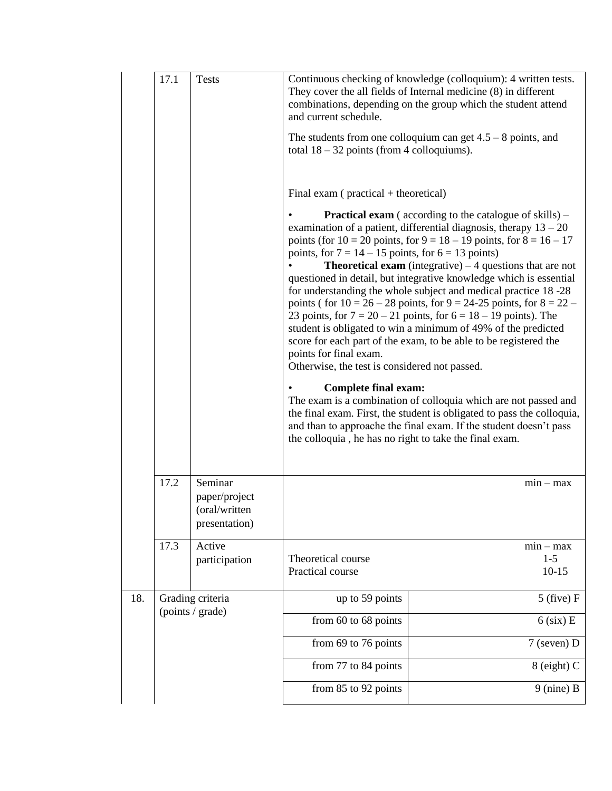|     | 17.1<br><b>Tests</b>                 |                                                            | Continuous checking of knowledge (colloquium): 4 written tests.<br>They cover the all fields of Internal medicine $(8)$ in different<br>combinations, depending on the group which the student attend<br>and current schedule.<br>The students from one colloquium can get $4.5 - 8$ points, and<br>total $18 - 32$ points (from 4 colloquiums).<br>Final exam $(practical + theoretical)$<br><b>Practical exam</b> (according to the catalogue of skills) $-$<br>examination of a patient, differential diagnosis, therapy $13 - 20$<br>points (for $10 = 20$ points, for $9 = 18 - 19$ points, for $8 = 16 - 17$<br>points, for $7 = 14 - 15$ points, for $6 = 13$ points)<br><b>Theoretical exam</b> (integrative) $-4$ questions that are not<br>questioned in detail, but integrative knowledge which is essential<br>for understanding the whole subject and medical practice 18 -28<br>points ( for $10 = 26 - 28$ points, for $9 = 24-25$ points, for $8 = 22 -$<br>23 points, for $7 = 20 - 21$ points, for $6 = 18 - 19$ points). The<br>student is obligated to win a minimum of 49% of the predicted<br>score for each part of the exam, to be able to be registered the<br>points for final exam.<br>Otherwise, the test is considered not passed.<br><b>Complete final exam:</b><br>The exam is a combination of colloquia which are not passed and<br>the final exam. First, the student is obligated to pass the colloquia,<br>and than to approache the final exam. If the student doesn't pass<br>the colloquia, he has no right to take the final exam. |                                   |  |
|-----|--------------------------------------|------------------------------------------------------------|----------------------------------------------------------------------------------------------------------------------------------------------------------------------------------------------------------------------------------------------------------------------------------------------------------------------------------------------------------------------------------------------------------------------------------------------------------------------------------------------------------------------------------------------------------------------------------------------------------------------------------------------------------------------------------------------------------------------------------------------------------------------------------------------------------------------------------------------------------------------------------------------------------------------------------------------------------------------------------------------------------------------------------------------------------------------------------------------------------------------------------------------------------------------------------------------------------------------------------------------------------------------------------------------------------------------------------------------------------------------------------------------------------------------------------------------------------------------------------------------------------------------------------------------------------------------------|-----------------------------------|--|
|     | 17.2                                 | Seminar<br>paper/project<br>(oral/written<br>presentation) |                                                                                                                                                                                                                                                                                                                                                                                                                                                                                                                                                                                                                                                                                                                                                                                                                                                                                                                                                                                                                                                                                                                                                                                                                                                                                                                                                                                                                                                                                                                                                                            | $min - max$                       |  |
|     | 17.3                                 | Active<br>participation                                    | Theoretical course<br>Practical course                                                                                                                                                                                                                                                                                                                                                                                                                                                                                                                                                                                                                                                                                                                                                                                                                                                                                                                                                                                                                                                                                                                                                                                                                                                                                                                                                                                                                                                                                                                                     | $min - max$<br>$1 - 5$<br>$10-15$ |  |
| 18. | Grading criteria<br>(points / grade) |                                                            | up to 59 points                                                                                                                                                                                                                                                                                                                                                                                                                                                                                                                                                                                                                                                                                                                                                                                                                                                                                                                                                                                                                                                                                                                                                                                                                                                                                                                                                                                                                                                                                                                                                            | $5$ (five) $F$                    |  |
|     |                                      |                                                            | from 60 to 68 points                                                                                                                                                                                                                                                                                                                                                                                                                                                                                                                                                                                                                                                                                                                                                                                                                                                                                                                                                                                                                                                                                                                                                                                                                                                                                                                                                                                                                                                                                                                                                       | $6$ (six) E                       |  |
|     |                                      |                                                            | from 69 to 76 points                                                                                                                                                                                                                                                                                                                                                                                                                                                                                                                                                                                                                                                                                                                                                                                                                                                                                                                                                                                                                                                                                                                                                                                                                                                                                                                                                                                                                                                                                                                                                       | $7$ (seven) D                     |  |
|     |                                      |                                                            | from 77 to 84 points                                                                                                                                                                                                                                                                                                                                                                                                                                                                                                                                                                                                                                                                                                                                                                                                                                                                                                                                                                                                                                                                                                                                                                                                                                                                                                                                                                                                                                                                                                                                                       | 8 (eight) C                       |  |
|     |                                      |                                                            | from 85 to 92 points                                                                                                                                                                                                                                                                                                                                                                                                                                                                                                                                                                                                                                                                                                                                                                                                                                                                                                                                                                                                                                                                                                                                                                                                                                                                                                                                                                                                                                                                                                                                                       | $9$ (nine) B                      |  |